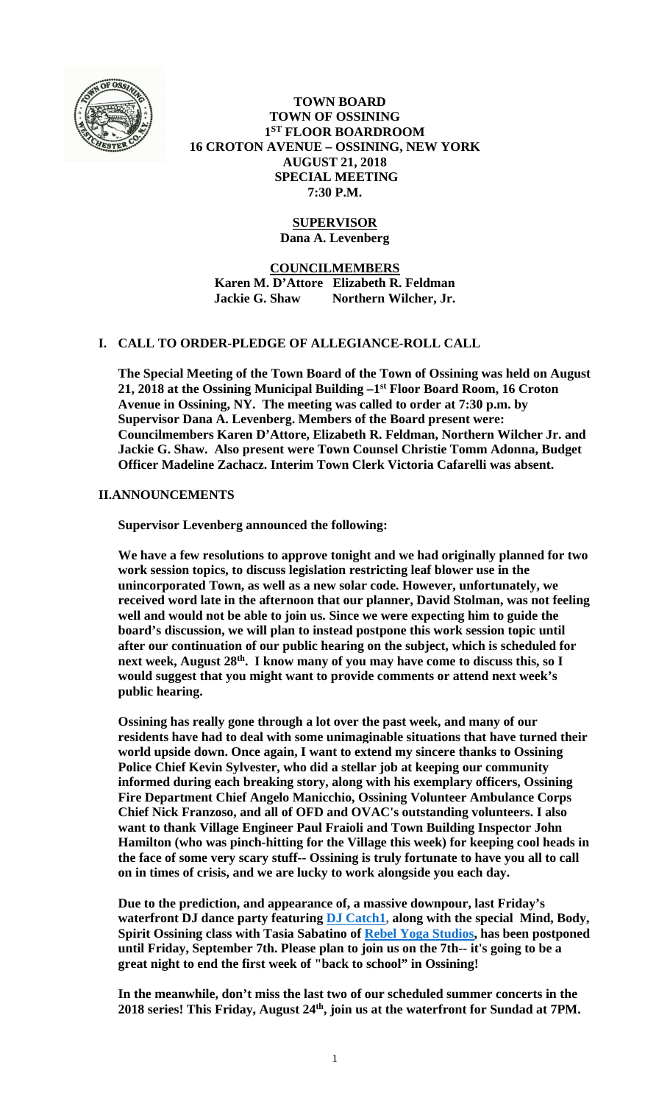

 **TOWN BOARD TOWN OF OSSINING 1ST FLOOR BOARDROOM 16 CROTON AVENUE – OSSINING, NEW YORK AUGUST 21, 2018 SPECIAL MEETING 7:30 P.M.** 

# **SUPERVISOR**

**Dana A. Levenberg** 

**COUNCILMEMBERS Karen M. D'Attore Elizabeth R. Feldman Jackie G. Shaw Northern Wilcher, Jr.** 

## **I. CALL TO ORDER-PLEDGE OF ALLEGIANCE-ROLL CALL**

**The Special Meeting of the Town Board of the Town of Ossining was held on August 21, 2018 at the Ossining Municipal Building –1st Floor Board Room, 16 Croton Avenue in Ossining, NY. The meeting was called to order at 7:30 p.m. by Supervisor Dana A. Levenberg. Members of the Board present were: Councilmembers Karen D'Attore, Elizabeth R. Feldman, Northern Wilcher Jr. and Jackie G. Shaw. Also present were Town Counsel Christie Tomm Adonna, Budget Officer Madeline Zachacz. Interim Town Clerk Victoria Cafarelli was absent.** 

## **II.ANNOUNCEMENTS**

**Supervisor Levenberg announced the following:** 

**We have a few resolutions to approve tonight and we had originally planned for two work session topics, to discuss legislation restricting leaf blower use in the unincorporated Town, as well as a new solar code. However, unfortunately, we received word late in the afternoon that our planner, David Stolman, was not feeling well and would not be able to join us. Since we were expecting him to guide the board's discussion, we will plan to instead postpone this work session topic until after our continuation of our public hearing on the subject, which is scheduled for next week, August 28th. I know many of you may have come to discuss this, so I would suggest that you might want to provide comments or attend next week's public hearing.** 

**Ossining has really gone through a lot over the past week, and many of our residents have had to deal with some unimaginable situations that have turned their world upside down. Once again, I want to extend my sincere thanks to Ossining Police Chief Kevin Sylvester, who did a stellar job at keeping our community informed during each breaking story, along with his exemplary officers, Ossining Fire Department Chief Angelo Manicchio, Ossining Volunteer Ambulance Corps Chief Nick Franzoso, and all of OFD and OVAC's outstanding volunteers. I also want to thank Village Engineer Paul Fraioli and Town Building Inspector John Hamilton (who was pinch-hitting for the Village this week) for keeping cool heads in the face of some very scary stuff-- Ossining is truly fortunate to have you all to call on in times of crisis, and we are lucky to work alongside you each day.** 

**Due to the prediction, and appearance of, a massive downpour, last Friday's waterfront DJ dance party featuring DJ Catch1, along with the special Mind, Body, Spirit Ossining class with Tasia Sabatino of Rebel Yoga Studios, has been postponed until Friday, September 7th. Please plan to join us on the 7th-- it's going to be a great night to end the first week of "back to school" in Ossining!** 

**In the meanwhile, don't miss the last two of our scheduled summer concerts in the 2018 series! This Friday, August 24th, join us at the waterfront for Sundad at 7PM.**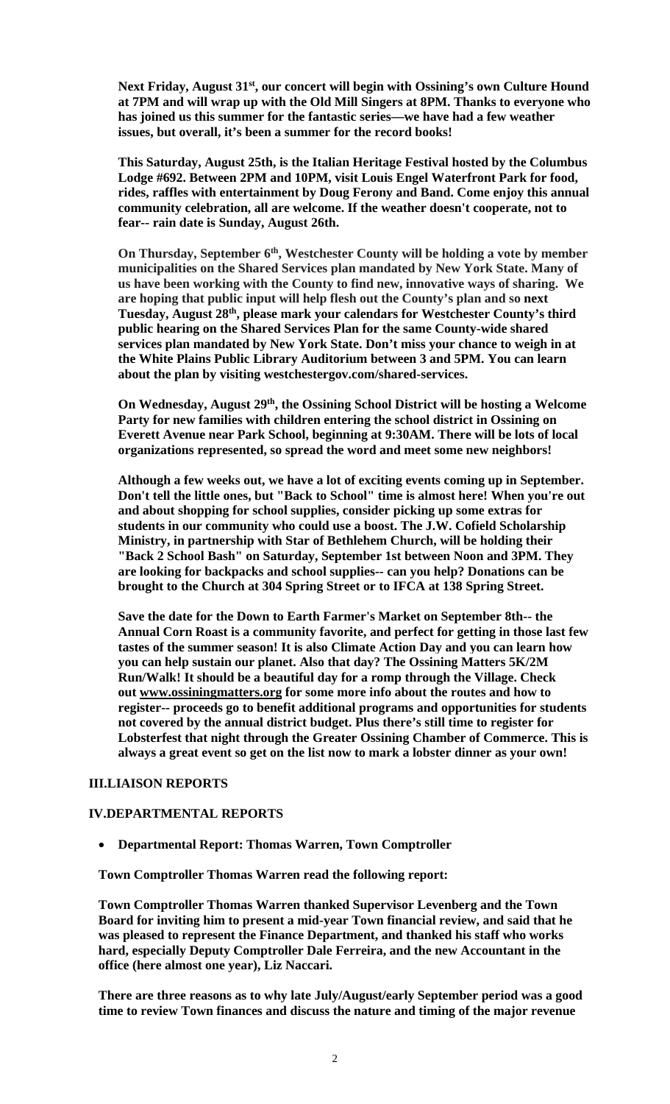Next Friday, August 31<sup>st</sup>, our concert will begin with Ossining's own Culture Hound **at 7PM and will wrap up with the Old Mill Singers at 8PM. Thanks to everyone who has joined us this summer for the fantastic series—we have had a few weather issues, but overall, it's been a summer for the record books!** 

**This Saturday, August 25th, is the Italian Heritage Festival hosted by the Columbus Lodge #692. Between 2PM and 10PM, visit Louis Engel Waterfront Park for food, rides, raffles with entertainment by Doug Ferony and Band. Come enjoy this annual community celebration, all are welcome. If the weather doesn't cooperate, not to fear-- rain date is Sunday, August 26th.** 

On Thursday, September 6<sup>th</sup>, Westchester County will be holding a vote by member **municipalities on the Shared Services plan mandated by New York State. Many of us have been working with the County to find new, innovative ways of sharing. We are hoping that public input will help flesh out the County's plan and so next Tuesday, August 28th, please mark your calendars for Westchester County's third public hearing on the Shared Services Plan for the same County-wide shared services plan mandated by New York State. Don't miss your chance to weigh in at the White Plains Public Library Auditorium between 3 and 5PM. You can learn about the plan by visiting westchestergov.com/shared-services.** 

**On Wednesday, August 29th, the Ossining School District will be hosting a Welcome Party for new families with children entering the school district in Ossining on Everett Avenue near Park School, beginning at 9:30AM. There will be lots of local organizations represented, so spread the word and meet some new neighbors!** 

**Although a few weeks out, we have a lot of exciting events coming up in September. Don't tell the little ones, but "Back to School" time is almost here! When you're out and about shopping for school supplies, consider picking up some extras for students in our community who could use a boost. The J.W. Cofield Scholarship Ministry, in partnership with Star of Bethlehem Church, will be holding their "Back 2 School Bash" on Saturday, September 1st between Noon and 3PM. They are looking for backpacks and school supplies-- can you help? Donations can be brought to the Church at 304 Spring Street or to IFCA at 138 Spring Street.** 

**Save the date for the Down to Earth Farmer's Market on September 8th-- the Annual Corn Roast is a community favorite, and perfect for getting in those last few tastes of the summer season! It is also Climate Action Day and you can learn how you can help sustain our planet. Also that day? The Ossining Matters 5K/2M Run/Walk! It should be a beautiful day for a romp through the Village. Check out www.ossiningmatters.org for some more info about the routes and how to register-- proceeds go to benefit additional programs and opportunities for students not covered by the annual district budget. Plus there's still time to register for Lobsterfest that night through the Greater Ossining Chamber of Commerce. This is always a great event so get on the list now to mark a lobster dinner as your own!** 

#### **III.LIAISON REPORTS**

### **IV.DEPARTMENTAL REPORTS**

**Departmental Report: Thomas Warren, Town Comptroller** 

**Town Comptroller Thomas Warren read the following report:** 

**Town Comptroller Thomas Warren thanked Supervisor Levenberg and the Town Board for inviting him to present a mid-year Town financial review, and said that he was pleased to represent the Finance Department, and thanked his staff who works hard, especially Deputy Comptroller Dale Ferreira, and the new Accountant in the office (here almost one year), Liz Naccari.** 

**There are three reasons as to why late July/August/early September period was a good time to review Town finances and discuss the nature and timing of the major revenue**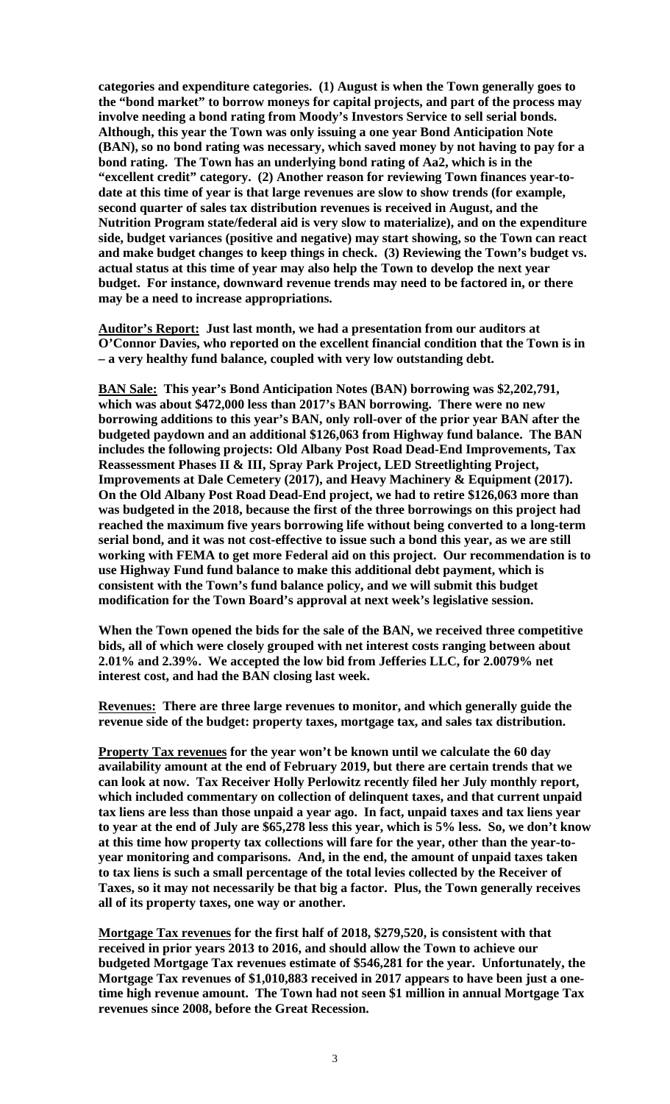**categories and expenditure categories. (1) August is when the Town generally goes to the "bond market" to borrow moneys for capital projects, and part of the process may involve needing a bond rating from Moody's Investors Service to sell serial bonds. Although, this year the Town was only issuing a one year Bond Anticipation Note (BAN), so no bond rating was necessary, which saved money by not having to pay for a bond rating. The Town has an underlying bond rating of Aa2, which is in the "excellent credit" category. (2) Another reason for reviewing Town finances year-todate at this time of year is that large revenues are slow to show trends (for example, second quarter of sales tax distribution revenues is received in August, and the Nutrition Program state/federal aid is very slow to materialize), and on the expenditure side, budget variances (positive and negative) may start showing, so the Town can react and make budget changes to keep things in check. (3) Reviewing the Town's budget vs. actual status at this time of year may also help the Town to develop the next year budget. For instance, downward revenue trends may need to be factored in, or there may be a need to increase appropriations.** 

**Auditor's Report: Just last month, we had a presentation from our auditors at O'Connor Davies, who reported on the excellent financial condition that the Town is in – a very healthy fund balance, coupled with very low outstanding debt.** 

**BAN Sale: This year's Bond Anticipation Notes (BAN) borrowing was \$2,202,791, which was about \$472,000 less than 2017's BAN borrowing. There were no new borrowing additions to this year's BAN, only roll-over of the prior year BAN after the budgeted paydown and an additional \$126,063 from Highway fund balance. The BAN includes the following projects: Old Albany Post Road Dead-End Improvements, Tax Reassessment Phases II & III, Spray Park Project, LED Streetlighting Project, Improvements at Dale Cemetery (2017), and Heavy Machinery & Equipment (2017). On the Old Albany Post Road Dead-End project, we had to retire \$126,063 more than was budgeted in the 2018, because the first of the three borrowings on this project had reached the maximum five years borrowing life without being converted to a long-term serial bond, and it was not cost-effective to issue such a bond this year, as we are still working with FEMA to get more Federal aid on this project. Our recommendation is to use Highway Fund fund balance to make this additional debt payment, which is consistent with the Town's fund balance policy, and we will submit this budget modification for the Town Board's approval at next week's legislative session.** 

**When the Town opened the bids for the sale of the BAN, we received three competitive bids, all of which were closely grouped with net interest costs ranging between about 2.01% and 2.39%. We accepted the low bid from Jefferies LLC, for 2.0079% net interest cost, and had the BAN closing last week.** 

**Revenues: There are three large revenues to monitor, and which generally guide the revenue side of the budget: property taxes, mortgage tax, and sales tax distribution.** 

**Property Tax revenues for the year won't be known until we calculate the 60 day availability amount at the end of February 2019, but there are certain trends that we can look at now. Tax Receiver Holly Perlowitz recently filed her July monthly report, which included commentary on collection of delinquent taxes, and that current unpaid tax liens are less than those unpaid a year ago. In fact, unpaid taxes and tax liens year to year at the end of July are \$65,278 less this year, which is 5% less. So, we don't know at this time how property tax collections will fare for the year, other than the year-toyear monitoring and comparisons. And, in the end, the amount of unpaid taxes taken to tax liens is such a small percentage of the total levies collected by the Receiver of Taxes, so it may not necessarily be that big a factor. Plus, the Town generally receives all of its property taxes, one way or another.** 

**Mortgage Tax revenues for the first half of 2018, \$279,520, is consistent with that received in prior years 2013 to 2016, and should allow the Town to achieve our budgeted Mortgage Tax revenues estimate of \$546,281 for the year. Unfortunately, the Mortgage Tax revenues of \$1,010,883 received in 2017 appears to have been just a onetime high revenue amount. The Town had not seen \$1 million in annual Mortgage Tax revenues since 2008, before the Great Recession.**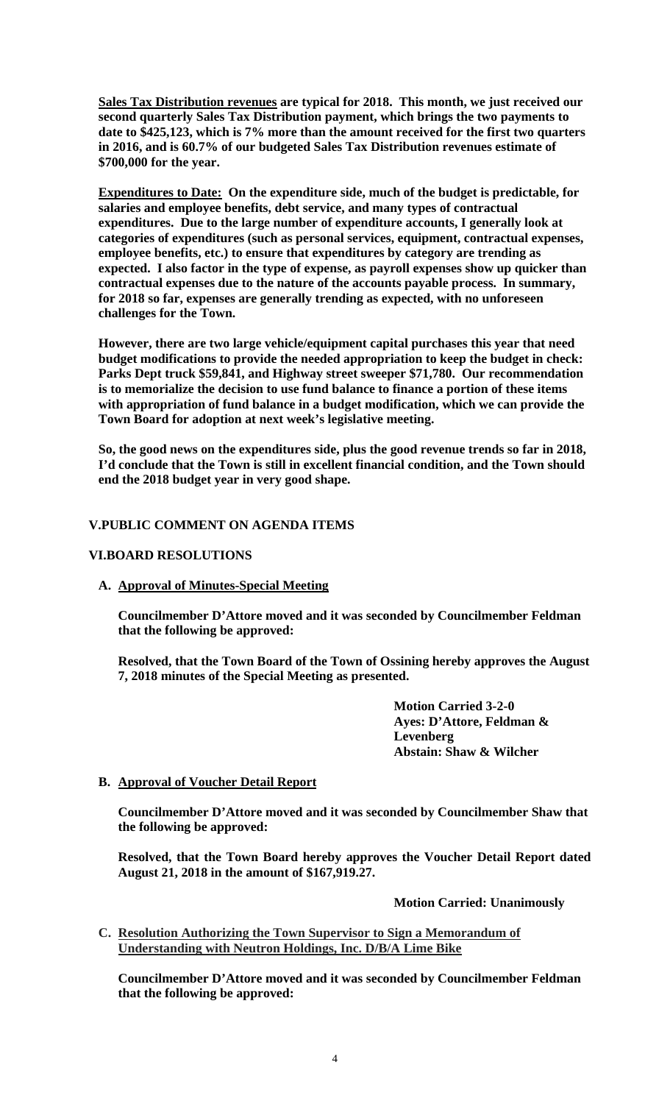**Sales Tax Distribution revenues are typical for 2018. This month, we just received our second quarterly Sales Tax Distribution payment, which brings the two payments to date to \$425,123, which is 7% more than the amount received for the first two quarters in 2016, and is 60.7% of our budgeted Sales Tax Distribution revenues estimate of \$700,000 for the year.** 

**Expenditures to Date: On the expenditure side, much of the budget is predictable, for salaries and employee benefits, debt service, and many types of contractual expenditures. Due to the large number of expenditure accounts, I generally look at categories of expenditures (such as personal services, equipment, contractual expenses, employee benefits, etc.) to ensure that expenditures by category are trending as expected. I also factor in the type of expense, as payroll expenses show up quicker than contractual expenses due to the nature of the accounts payable process. In summary, for 2018 so far, expenses are generally trending as expected, with no unforeseen challenges for the Town.** 

**However, there are two large vehicle/equipment capital purchases this year that need budget modifications to provide the needed appropriation to keep the budget in check: Parks Dept truck \$59,841, and Highway street sweeper \$71,780. Our recommendation is to memorialize the decision to use fund balance to finance a portion of these items with appropriation of fund balance in a budget modification, which we can provide the Town Board for adoption at next week's legislative meeting.** 

**So, the good news on the expenditures side, plus the good revenue trends so far in 2018, I'd conclude that the Town is still in excellent financial condition, and the Town should end the 2018 budget year in very good shape.** 

## **V.PUBLIC COMMENT ON AGENDA ITEMS**

## **VI.BOARD RESOLUTIONS**

**A. Approval of Minutes-Special Meeting** 

**Councilmember D'Attore moved and it was seconded by Councilmember Feldman that the following be approved:** 

**Resolved, that the Town Board of the Town of Ossining hereby approves the August 7, 2018 minutes of the Special Meeting as presented.** 

> **Motion Carried 3-2-0 Ayes: D'Attore, Feldman & Levenberg Abstain: Shaw & Wilcher**

## **B. Approval of Voucher Detail Report**

**Councilmember D'Attore moved and it was seconded by Councilmember Shaw that the following be approved:** 

**Resolved, that the Town Board hereby approves the Voucher Detail Report dated August 21, 2018 in the amount of \$167,919.27.** 

 **Motion Carried: Unanimously** 

**C. Resolution Authorizing the Town Supervisor to Sign a Memorandum of Understanding with Neutron Holdings, Inc. D/B/A Lime Bike**

**Councilmember D'Attore moved and it was seconded by Councilmember Feldman that the following be approved:**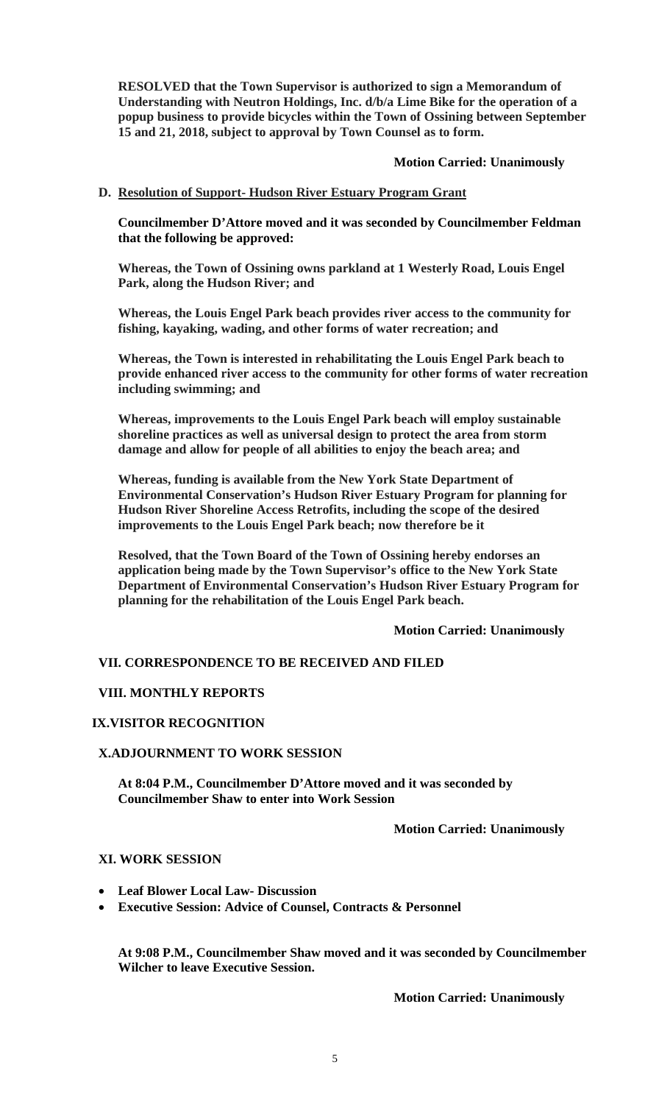**RESOLVED that the Town Supervisor is authorized to sign a Memorandum of Understanding with Neutron Holdings, Inc. d/b/a Lime Bike for the operation of a popup business to provide bicycles within the Town of Ossining between September 15 and 21, 2018, subject to approval by Town Counsel as to form.** 

### **Motion Carried: Unanimously**

## **D. Resolution of Support- Hudson River Estuary Program Grant**

**Councilmember D'Attore moved and it was seconded by Councilmember Feldman that the following be approved:** 

**Whereas, the Town of Ossining owns parkland at 1 Westerly Road, Louis Engel Park, along the Hudson River; and**

**Whereas, the Louis Engel Park beach provides river access to the community for fishing, kayaking, wading, and other forms of water recreation; and**

**Whereas, the Town is interested in rehabilitating the Louis Engel Park beach to provide enhanced river access to the community for other forms of water recreation including swimming; and**

**Whereas, improvements to the Louis Engel Park beach will employ sustainable shoreline practices as well as universal design to protect the area from storm damage and allow for people of all abilities to enjoy the beach area; and**

**Whereas, funding is available from the New York State Department of Environmental Conservation's Hudson River Estuary Program for planning for Hudson River Shoreline Access Retrofits, including the scope of the desired improvements to the Louis Engel Park beach; now therefore be it**

**Resolved, that the Town Board of the Town of Ossining hereby endorses an application being made by the Town Supervisor's office to the New York State Department of Environmental Conservation's Hudson River Estuary Program for planning for the rehabilitation of the Louis Engel Park beach.** 

## **Motion Carried: Unanimously**

# **VII. CORRESPONDENCE TO BE RECEIVED AND FILED**

## **VIII. MONTHLY REPORTS**

## **IX.VISITOR RECOGNITION**

## **X.ADJOURNMENT TO WORK SESSION**

**At 8:04 P.M., Councilmember D'Attore moved and it was seconded by Councilmember Shaw to enter into Work Session** 

 **Motion Carried: Unanimously** 

## **XI. WORK SESSION**

- **Leaf Blower Local Law- Discussion**
- **Executive Session: Advice of Counsel, Contracts & Personnel**

**At 9:08 P.M., Councilmember Shaw moved and it was seconded by Councilmember Wilcher to leave Executive Session.** 

 **Motion Carried: Unanimously**